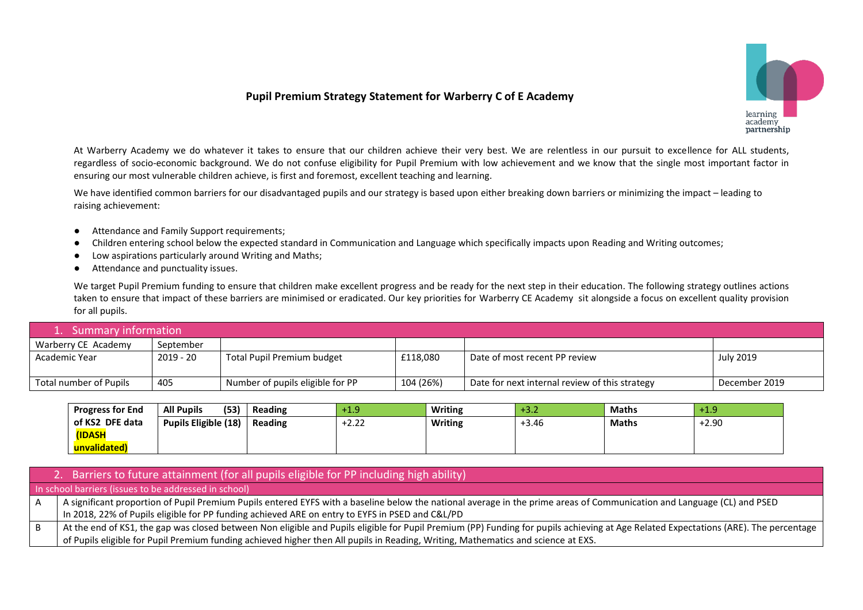## **Pupil Premium Strategy Statement for Warberry C of E Academy**



At Warberry Academy we do whatever it takes to ensure that our children achieve their very best. We are relentless in our pursuit to excellence for ALL students, regardless of socio-economic background. We do not confuse eligibility for Pupil Premium with low achievement and we know that the single most important factor in ensuring our most vulnerable children achieve, is first and foremost, excellent teaching and learning.

We have identified common barriers for our disadvantaged pupils and our strategy is based upon either breaking down barriers or minimizing the impact – leading to raising achievement:

- Attendance and Family Support requirements;
- Children entering school below the expected standard in Communication and Language which specifically impacts upon Reading and Writing outcomes;
- Low aspirations particularly around Writing and Maths;
- Attendance and punctuality issues.

We target Pupil Premium funding to ensure that children make excellent progress and be ready for the next step in their education. The following strategy outlines actions taken to ensure that impact of these barriers are minimised or eradicated. Our key priorities for Warberry CE Academy sit alongside a focus on excellent quality provision for all pupils.

| 1. Summary information |             |                                  |           |                                                |               |  |
|------------------------|-------------|----------------------------------|-----------|------------------------------------------------|---------------|--|
| Warberry CE Academy    | September   |                                  |           |                                                |               |  |
| Academic Year          | $2019 - 20$ | Total Pupil Premium budget       | £118,080  | Date of most recent PP review                  | July 2019     |  |
| Total number of Pupils | 405         | Number of pupils eligible for PP | 104 (26%) | Date for next internal review of this strategy | December 2019 |  |

| <b>Progress for End</b> | (53)<br><b>All Pupils</b>   | Reading | $+1.9$ | <b>Writing</b> | $+3.2$  | <b>Maths</b> | +1.9    |
|-------------------------|-----------------------------|---------|--------|----------------|---------|--------------|---------|
| of KS2 DFE data         | <b>Pupils Eligible (18)</b> | Reading | +2.22  | Writing        | $+3.46$ | <b>Maths</b> | $-2.90$ |
| <b>(IDASH)</b>          |                             |         |        |                |         |              |         |
| unvalidated)            |                             |         |        |                |         |              |         |

|     | 2. Barriers to future attainment (for all pupils eligible for PP including high ability)                                                                                             |
|-----|--------------------------------------------------------------------------------------------------------------------------------------------------------------------------------------|
|     | In school barriers (issues to be addressed in school)                                                                                                                                |
| ΙA  | A significant proportion of Pupil Premium Pupils entered EYFS with a baseline below the national average in the prime areas of Communication and Language (CL) and PSED              |
|     | In 2018, 22% of Pupils eligible for PP funding achieved ARE on entry to EYFS in PSED and C&L/PD                                                                                      |
| i B | At the end of KS1, the gap was closed between Non eligible and Pupils eligible for Pupil Premium (PP) Funding for pupils achieving at Age Related Expectations (ARE). The percentage |
|     | of Pupils eligible for Pupil Premium funding achieved higher then All pupils in Reading, Writing, Mathematics and science at EXS.                                                    |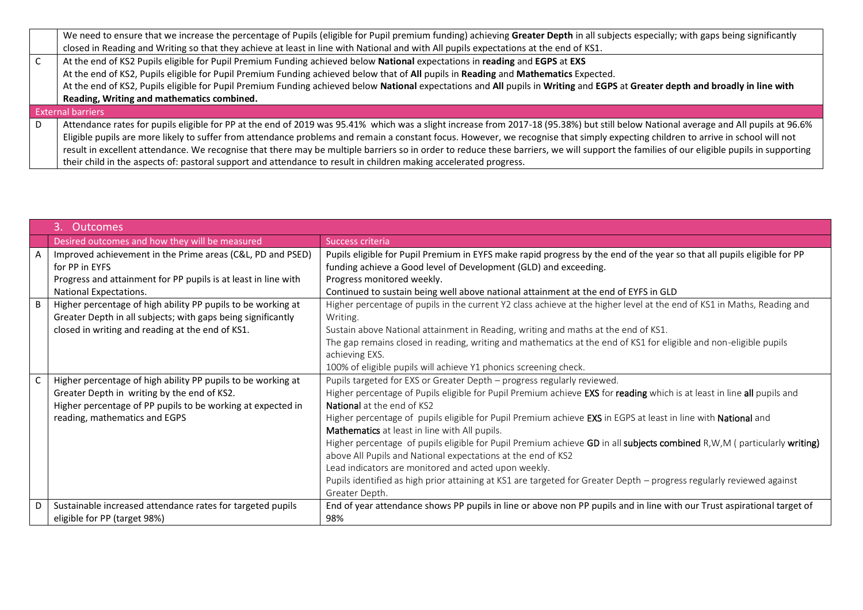| We need to ensure that we increase the percentage of Pupils (eligible for Pupil premium funding) achieving Greater Depth in all subjects especially; with gaps being significantly       |
|------------------------------------------------------------------------------------------------------------------------------------------------------------------------------------------|
| closed in Reading and Writing so that they achieve at least in line with National and with All pupils expectations at the end of KS1.                                                    |
| At the end of KS2 Pupils eligible for Pupil Premium Funding achieved below National expectations in reading and EGPS at EXS                                                              |
| At the end of KS2, Pupils eligible for Pupil Premium Funding achieved below that of All pupils in Reading and Mathematics Expected.                                                      |
| At the end of KS2, Pupils eligible for Pupil Premium Funding achieved below National expectations and All pupils in Writing and EGPS at Greater depth and broadly in line with           |
| Reading, Writing and mathematics combined.                                                                                                                                               |
| <b>External barriers</b>                                                                                                                                                                 |
| Attendance rates for pupils eligible for PP at the end of 2019 was 95.41% which was a slight increase from 2017-18 (95.38%) but still below National average and All pupils at 96.6%     |
| Eligible pupils are more likely to suffer from attendance problems and remain a constant focus. However, we recognise that simply expecting children to arrive in school will not        |
| result in excellent attendance. We recognise that there may be multiple barriers so in order to reduce these barriers, we will support the families of our eligible pupils in supporting |
| their child in the aspects of: pastoral support and attendance to result in children making accelerated progress.                                                                        |

|   | Outcomes                                                       |                                                                                                                         |
|---|----------------------------------------------------------------|-------------------------------------------------------------------------------------------------------------------------|
|   | Desired outcomes and how they will be measured                 | Success criteria                                                                                                        |
|   | Improved achievement in the Prime areas (C&L, PD and PSED)     | Pupils eligible for Pupil Premium in EYFS make rapid progress by the end of the year so that all pupils eligible for PP |
|   | for PP in EYFS                                                 | funding achieve a Good level of Development (GLD) and exceeding.                                                        |
|   | Progress and attainment for PP pupils is at least in line with | Progress monitored weekly.                                                                                              |
|   | National Expectations.                                         | Continued to sustain being well above national attainment at the end of EYFS in GLD                                     |
| B | Higher percentage of high ability PP pupils to be working at   | Higher percentage of pupils in the current Y2 class achieve at the higher level at the end of KS1 in Maths, Reading and |
|   | Greater Depth in all subjects; with gaps being significantly   | Writing.                                                                                                                |
|   | closed in writing and reading at the end of KS1.               | Sustain above National attainment in Reading, writing and maths at the end of KS1.                                      |
|   |                                                                | The gap remains closed in reading, writing and mathematics at the end of KS1 for eligible and non-eligible pupils       |
|   |                                                                | achieving EXS.                                                                                                          |
|   |                                                                | 100% of eligible pupils will achieve Y1 phonics screening check.                                                        |
|   | Higher percentage of high ability PP pupils to be working at   | Pupils targeted for EXS or Greater Depth - progress regularly reviewed.                                                 |
|   | Greater Depth in writing by the end of KS2.                    | Higher percentage of Pupils eligible for Pupil Premium achieve EXS for reading which is at least in line all pupils and |
|   | Higher percentage of PP pupils to be working at expected in    | National at the end of KS2                                                                                              |
|   | reading, mathematics and EGPS                                  | Higher percentage of pupils eligible for Pupil Premium achieve EXS in EGPS at least in line with National and           |
|   |                                                                | Mathematics at least in line with All pupils.                                                                           |
|   |                                                                | Higher percentage of pupils eligible for Pupil Premium achieve GD in all subjects combined R,W,M (particularly writing) |
|   |                                                                | above All Pupils and National expectations at the end of KS2                                                            |
|   |                                                                | Lead indicators are monitored and acted upon weekly.                                                                    |
|   |                                                                | Pupils identified as high prior attaining at KS1 are targeted for Greater Depth - progress regularly reviewed against   |
|   |                                                                | Greater Depth.                                                                                                          |
| D | Sustainable increased attendance rates for targeted pupils     | End of year attendance shows PP pupils in line or above non PP pupils and in line with our Trust aspirational target of |
|   | eligible for PP (target 98%)                                   | 98%                                                                                                                     |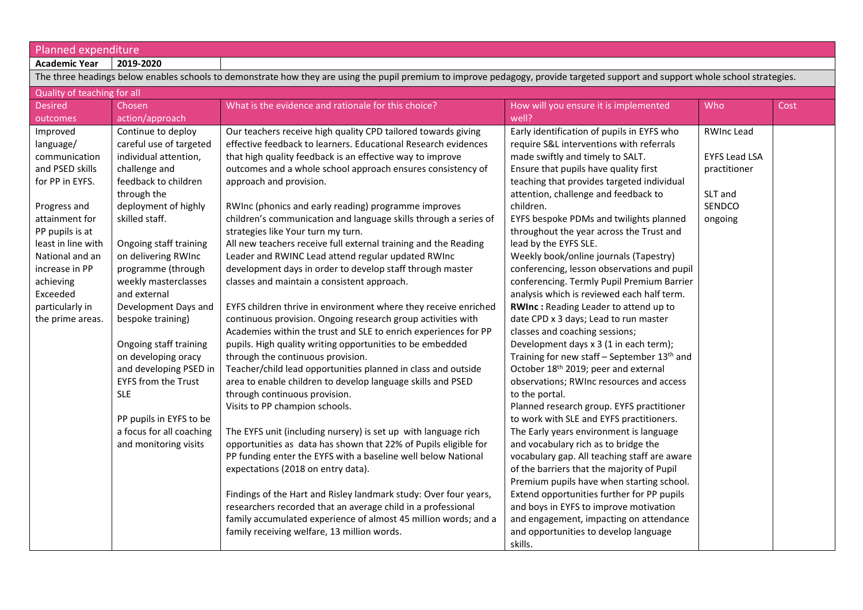| Planned expenditure |  |  |  |  |
|---------------------|--|--|--|--|
|                     |  |  |  |  |

| 2019-2020<br><b>Academic Year</b> |
|-----------------------------------|
|-----------------------------------|

| The three headings below enables schools to demonstrate how they are using the pupil premium to improve pedagogy, provide targeted support and support whole school strategies. |                            |                                                                  |                                              |                      |      |  |  |
|---------------------------------------------------------------------------------------------------------------------------------------------------------------------------------|----------------------------|------------------------------------------------------------------|----------------------------------------------|----------------------|------|--|--|
| Quality of teaching for all                                                                                                                                                     |                            |                                                                  |                                              |                      |      |  |  |
| <b>Desired</b>                                                                                                                                                                  | Chosen                     | What is the evidence and rationale for this choice?              | How will you ensure it is implemented        | Who                  | Cost |  |  |
| outcomes                                                                                                                                                                        | action/approach            |                                                                  | well?                                        |                      |      |  |  |
| Improved                                                                                                                                                                        | Continue to deploy         | Our teachers receive high quality CPD tailored towards giving    | Early identification of pupils in EYFS who   | <b>RWInc Lead</b>    |      |  |  |
| language/                                                                                                                                                                       | careful use of targeted    | effective feedback to learners. Educational Research evidences   | require S&L interventions with referrals     |                      |      |  |  |
| communication                                                                                                                                                                   | individual attention,      | that high quality feedback is an effective way to improve        | made swiftly and timely to SALT.             | <b>EYFS Lead LSA</b> |      |  |  |
| and PSED skills                                                                                                                                                                 | challenge and              | outcomes and a whole school approach ensures consistency of      | Ensure that pupils have quality first        | practitioner         |      |  |  |
| for PP in EYFS.                                                                                                                                                                 | feedback to children       | approach and provision.                                          | teaching that provides targeted individual   |                      |      |  |  |
|                                                                                                                                                                                 | through the                |                                                                  | attention, challenge and feedback to         | SLT and              |      |  |  |
| Progress and                                                                                                                                                                    | deployment of highly       | RWInc (phonics and early reading) programme improves             | children.                                    | SENDCO               |      |  |  |
| attainment for                                                                                                                                                                  | skilled staff.             | children's communication and language skills through a series of | EYFS bespoke PDMs and twilights planned      | ongoing              |      |  |  |
| PP pupils is at                                                                                                                                                                 |                            | strategies like Your turn my turn.                               | throughout the year across the Trust and     |                      |      |  |  |
| least in line with                                                                                                                                                              | Ongoing staff training     | All new teachers receive full external training and the Reading  | lead by the EYFS SLE.                        |                      |      |  |  |
| National and an                                                                                                                                                                 | on delivering RWInc        | Leader and RWINC Lead attend regular updated RWInc               | Weekly book/online journals (Tapestry)       |                      |      |  |  |
| increase in PP                                                                                                                                                                  | programme (through         | development days in order to develop staff through master        | conferencing, lesson observations and pupil  |                      |      |  |  |
| achieving                                                                                                                                                                       | weekly masterclasses       | classes and maintain a consistent approach.                      | conferencing. Termly Pupil Premium Barrier   |                      |      |  |  |
| Exceeded                                                                                                                                                                        | and external               |                                                                  | analysis which is reviewed each half term.   |                      |      |  |  |
| particularly in                                                                                                                                                                 | Development Days and       | EYFS children thrive in environment where they receive enriched  | RWInc: Reading Leader to attend up to        |                      |      |  |  |
| the prime areas.                                                                                                                                                                | bespoke training)          | continuous provision. Ongoing research group activities with     | date CPD x 3 days; Lead to run master        |                      |      |  |  |
|                                                                                                                                                                                 |                            | Academies within the trust and SLE to enrich experiences for PP  | classes and coaching sessions;               |                      |      |  |  |
|                                                                                                                                                                                 | Ongoing staff training     | pupils. High quality writing opportunities to be embedded        | Development days x 3 (1 in each term);       |                      |      |  |  |
|                                                                                                                                                                                 | on developing oracy        | through the continuous provision.                                | Training for new staff - September 13th and  |                      |      |  |  |
|                                                                                                                                                                                 | and developing PSED in     | Teacher/child lead opportunities planned in class and outside    | October 18th 2019; peer and external         |                      |      |  |  |
|                                                                                                                                                                                 | <b>EYFS from the Trust</b> | area to enable children to develop language skills and PSED      | observations; RWInc resources and access     |                      |      |  |  |
|                                                                                                                                                                                 | <b>SLE</b>                 | through continuous provision.                                    | to the portal.                               |                      |      |  |  |
|                                                                                                                                                                                 |                            | Visits to PP champion schools.                                   | Planned research group. EYFS practitioner    |                      |      |  |  |
|                                                                                                                                                                                 | PP pupils in EYFS to be    |                                                                  | to work with SLE and EYFS practitioners.     |                      |      |  |  |
|                                                                                                                                                                                 | a focus for all coaching   | The EYFS unit (including nursery) is set up with language rich   | The Early years environment is language      |                      |      |  |  |
|                                                                                                                                                                                 | and monitoring visits      | opportunities as data has shown that 22% of Pupils eligible for  | and vocabulary rich as to bridge the         |                      |      |  |  |
|                                                                                                                                                                                 |                            | PP funding enter the EYFS with a baseline well below National    | vocabulary gap. All teaching staff are aware |                      |      |  |  |
|                                                                                                                                                                                 |                            | expectations (2018 on entry data).                               | of the barriers that the majority of Pupil   |                      |      |  |  |
|                                                                                                                                                                                 |                            |                                                                  | Premium pupils have when starting school.    |                      |      |  |  |
|                                                                                                                                                                                 |                            | Findings of the Hart and Risley landmark study: Over four years, | Extend opportunities further for PP pupils   |                      |      |  |  |
|                                                                                                                                                                                 |                            | researchers recorded that an average child in a professional     | and boys in EYFS to improve motivation       |                      |      |  |  |
|                                                                                                                                                                                 |                            | family accumulated experience of almost 45 million words; and a  | and engagement, impacting on attendance      |                      |      |  |  |
|                                                                                                                                                                                 |                            | family receiving welfare, 13 million words.                      | and opportunities to develop language        |                      |      |  |  |
|                                                                                                                                                                                 |                            |                                                                  | skills.                                      |                      |      |  |  |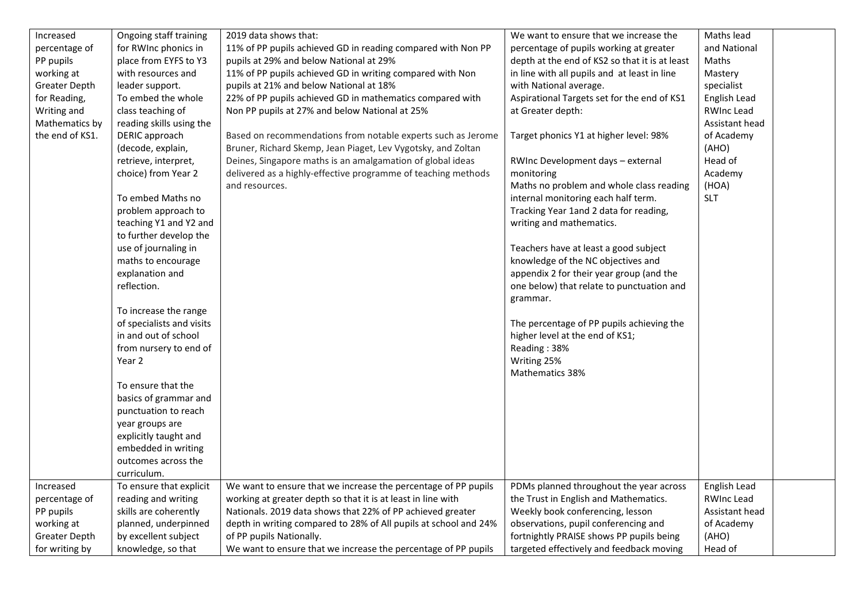| Increased       | Ongoing staff training    | 2019 data shows that:                                            | We want to ensure that we increase the         | Maths lead        |
|-----------------|---------------------------|------------------------------------------------------------------|------------------------------------------------|-------------------|
| percentage of   | for RWInc phonics in      | 11% of PP pupils achieved GD in reading compared with Non PP     | percentage of pupils working at greater        | and National      |
| PP pupils       | place from EYFS to Y3     | pupils at 29% and below National at 29%                          | depth at the end of KS2 so that it is at least | Maths             |
| working at      | with resources and        | 11% of PP pupils achieved GD in writing compared with Non        | in line with all pupils and at least in line   | Mastery           |
| Greater Depth   | leader support.           | pupils at 21% and below National at 18%                          | with National average.                         | specialist        |
| for Reading,    | To embed the whole        | 22% of PP pupils achieved GD in mathematics compared with        | Aspirational Targets set for the end of KS1    | English Lead      |
| Writing and     | class teaching of         | Non PP pupils at 27% and below National at 25%                   | at Greater depth:                              | <b>RWInc Lead</b> |
| Mathematics by  | reading skills using the  |                                                                  |                                                | Assistant head    |
| the end of KS1. | DERIC approach            | Based on recommendations from notable experts such as Jerome     | Target phonics Y1 at higher level: 98%         | of Academy        |
|                 | (decode, explain,         | Bruner, Richard Skemp, Jean Piaget, Lev Vygotsky, and Zoltan     |                                                | (AHO)             |
|                 | retrieve, interpret,      | Deines, Singapore maths is an amalgamation of global ideas       | RWInc Development days - external              | Head of           |
|                 | choice) from Year 2       | delivered as a highly-effective programme of teaching methods    | monitoring                                     | Academy           |
|                 |                           | and resources.                                                   | Maths no problem and whole class reading       | (HOA)             |
|                 | To embed Maths no         |                                                                  | internal monitoring each half term.            | <b>SLT</b>        |
|                 | problem approach to       |                                                                  | Tracking Year 1and 2 data for reading,         |                   |
|                 | teaching Y1 and Y2 and    |                                                                  | writing and mathematics.                       |                   |
|                 | to further develop the    |                                                                  |                                                |                   |
|                 | use of journaling in      |                                                                  | Teachers have at least a good subject          |                   |
|                 | maths to encourage        |                                                                  | knowledge of the NC objectives and             |                   |
|                 | explanation and           |                                                                  | appendix 2 for their year group (and the       |                   |
|                 | reflection.               |                                                                  | one below) that relate to punctuation and      |                   |
|                 |                           |                                                                  | grammar.                                       |                   |
|                 | To increase the range     |                                                                  |                                                |                   |
|                 | of specialists and visits |                                                                  | The percentage of PP pupils achieving the      |                   |
|                 | in and out of school      |                                                                  | higher level at the end of KS1;                |                   |
|                 | from nursery to end of    |                                                                  | Reading: 38%                                   |                   |
|                 | Year 2                    |                                                                  | Writing 25%                                    |                   |
|                 |                           |                                                                  | Mathematics 38%                                |                   |
|                 | To ensure that the        |                                                                  |                                                |                   |
|                 | basics of grammar and     |                                                                  |                                                |                   |
|                 | punctuation to reach      |                                                                  |                                                |                   |
|                 | year groups are           |                                                                  |                                                |                   |
|                 | explicitly taught and     |                                                                  |                                                |                   |
|                 | embedded in writing       |                                                                  |                                                |                   |
|                 | outcomes across the       |                                                                  |                                                |                   |
|                 | curriculum.               |                                                                  |                                                |                   |
| Increased       | To ensure that explicit   | We want to ensure that we increase the percentage of PP pupils   | PDMs planned throughout the year across        | English Lead      |
| percentage of   | reading and writing       | working at greater depth so that it is at least in line with     | the Trust in English and Mathematics.          | <b>RWInc Lead</b> |
| PP pupils       | skills are coherently     | Nationals. 2019 data shows that 22% of PP achieved greater       | Weekly book conferencing, lesson               | Assistant head    |
| working at      | planned, underpinned      | depth in writing compared to 28% of All pupils at school and 24% | observations, pupil conferencing and           | of Academy        |
| Greater Depth   | by excellent subject      | of PP pupils Nationally.                                         | fortnightly PRAISE shows PP pupils being       | (AHO)             |
| for writing by  | knowledge, so that        | We want to ensure that we increase the percentage of PP pupils   | targeted effectively and feedback moving       | Head of           |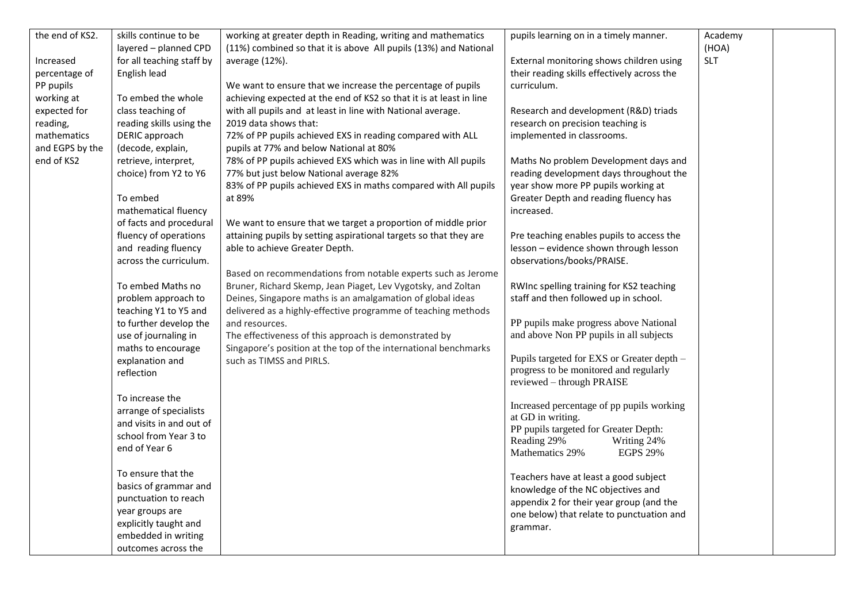| the end of KS2. | skills continue to be     | working at greater depth in Reading, writing and mathematics        | pupils learning on in a timely manner.      | Academy    |  |
|-----------------|---------------------------|---------------------------------------------------------------------|---------------------------------------------|------------|--|
|                 | layered - planned CPD     | (11%) combined so that it is above All pupils (13%) and National    |                                             | (HOA)      |  |
| Increased       | for all teaching staff by | average (12%).                                                      | External monitoring shows children using    | <b>SLT</b> |  |
| percentage of   | English lead              |                                                                     | their reading skills effectively across the |            |  |
| PP pupils       |                           | We want to ensure that we increase the percentage of pupils         | curriculum.                                 |            |  |
| working at      | To embed the whole        | achieving expected at the end of KS2 so that it is at least in line |                                             |            |  |
| expected for    | class teaching of         | with all pupils and at least in line with National average.         | Research and development (R&D) triads       |            |  |
| reading,        | reading skills using the  | 2019 data shows that:                                               | research on precision teaching is           |            |  |
| mathematics     | DERIC approach            | 72% of PP pupils achieved EXS in reading compared with ALL          | implemented in classrooms.                  |            |  |
| and EGPS by the | (decode, explain,         | pupils at 77% and below National at 80%                             |                                             |            |  |
| end of KS2      | retrieve, interpret,      | 78% of PP pupils achieved EXS which was in line with All pupils     | Maths No problem Development days and       |            |  |
|                 | choice) from Y2 to Y6     | 77% but just below National average 82%                             | reading development days throughout the     |            |  |
|                 |                           | 83% of PP pupils achieved EXS in maths compared with All pupils     | year show more PP pupils working at         |            |  |
|                 | To embed                  | at 89%                                                              | Greater Depth and reading fluency has       |            |  |
|                 | mathematical fluency      |                                                                     | increased.                                  |            |  |
|                 | of facts and procedural   | We want to ensure that we target a proportion of middle prior       |                                             |            |  |
|                 | fluency of operations     | attaining pupils by setting aspirational targets so that they are   | Pre teaching enables pupils to access the   |            |  |
|                 | and reading fluency       | able to achieve Greater Depth.                                      | lesson - evidence shown through lesson      |            |  |
|                 | across the curriculum.    |                                                                     | observations/books/PRAISE.                  |            |  |
|                 |                           | Based on recommendations from notable experts such as Jerome        |                                             |            |  |
|                 | To embed Maths no         | Bruner, Richard Skemp, Jean Piaget, Lev Vygotsky, and Zoltan        | RWInc spelling training for KS2 teaching    |            |  |
|                 | problem approach to       | Deines, Singapore maths is an amalgamation of global ideas          | staff and then followed up in school.       |            |  |
|                 | teaching Y1 to Y5 and     | delivered as a highly-effective programme of teaching methods       |                                             |            |  |
|                 | to further develop the    | and resources.                                                      | PP pupils make progress above National      |            |  |
|                 | use of journaling in      | The effectiveness of this approach is demonstrated by               | and above Non PP pupils in all subjects     |            |  |
|                 | maths to encourage        | Singapore's position at the top of the international benchmarks     |                                             |            |  |
|                 | explanation and           | such as TIMSS and PIRLS.                                            | Pupils targeted for EXS or Greater depth -  |            |  |
|                 | reflection                |                                                                     | progress to be monitored and regularly      |            |  |
|                 |                           |                                                                     | reviewed - through PRAISE                   |            |  |
|                 | To increase the           |                                                                     |                                             |            |  |
|                 | arrange of specialists    |                                                                     | Increased percentage of pp pupils working   |            |  |
|                 | and visits in and out of  |                                                                     | at GD in writing.                           |            |  |
|                 | school from Year 3 to     |                                                                     | PP pupils targeted for Greater Depth:       |            |  |
|                 | end of Year 6             |                                                                     | Reading 29%<br>Writing 24%                  |            |  |
|                 |                           |                                                                     | Mathematics 29%<br><b>EGPS 29%</b>          |            |  |
|                 | To ensure that the        |                                                                     | Teachers have at least a good subject       |            |  |
|                 | basics of grammar and     |                                                                     | knowledge of the NC objectives and          |            |  |
|                 | punctuation to reach      |                                                                     | appendix 2 for their year group (and the    |            |  |
|                 | year groups are           |                                                                     | one below) that relate to punctuation and   |            |  |
|                 | explicitly taught and     |                                                                     |                                             |            |  |
|                 | embedded in writing       |                                                                     | grammar.                                    |            |  |
|                 | outcomes across the       |                                                                     |                                             |            |  |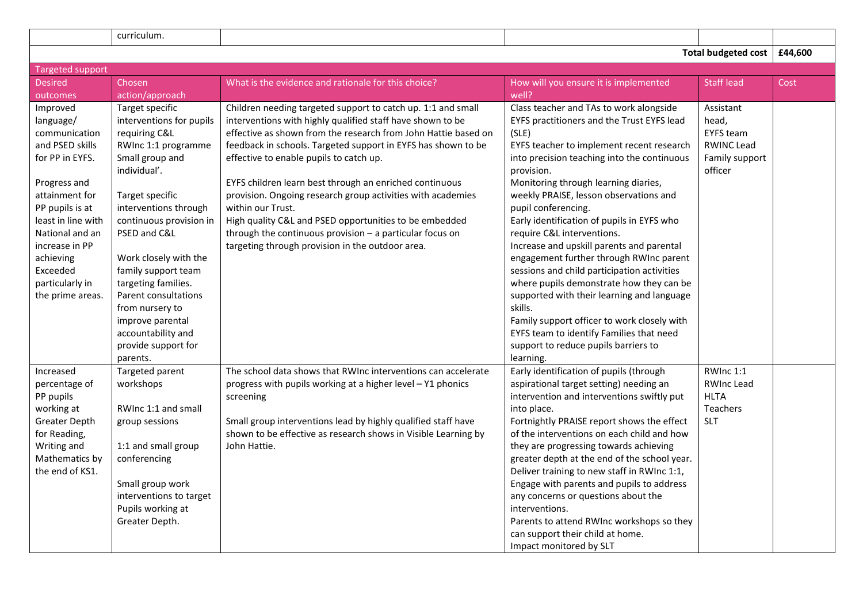|                                                                                                                                                                                                                                                              | curriculum.                                                                                                                                                                                                                                                                                                                                                                                                  |                                                                                                                                                                                                                                                                                                                                                                                                                                                                                                                                                                                                                                     |                                                                                                                                                                                                                                                                                                                                                                                                                                                                                                                                                                                                                                                                                                                                                                                           |                                                                                          |         |
|--------------------------------------------------------------------------------------------------------------------------------------------------------------------------------------------------------------------------------------------------------------|--------------------------------------------------------------------------------------------------------------------------------------------------------------------------------------------------------------------------------------------------------------------------------------------------------------------------------------------------------------------------------------------------------------|-------------------------------------------------------------------------------------------------------------------------------------------------------------------------------------------------------------------------------------------------------------------------------------------------------------------------------------------------------------------------------------------------------------------------------------------------------------------------------------------------------------------------------------------------------------------------------------------------------------------------------------|-------------------------------------------------------------------------------------------------------------------------------------------------------------------------------------------------------------------------------------------------------------------------------------------------------------------------------------------------------------------------------------------------------------------------------------------------------------------------------------------------------------------------------------------------------------------------------------------------------------------------------------------------------------------------------------------------------------------------------------------------------------------------------------------|------------------------------------------------------------------------------------------|---------|
|                                                                                                                                                                                                                                                              |                                                                                                                                                                                                                                                                                                                                                                                                              |                                                                                                                                                                                                                                                                                                                                                                                                                                                                                                                                                                                                                                     |                                                                                                                                                                                                                                                                                                                                                                                                                                                                                                                                                                                                                                                                                                                                                                                           | <b>Total budgeted cost</b>                                                               | £44,600 |
| <b>Targeted support</b>                                                                                                                                                                                                                                      |                                                                                                                                                                                                                                                                                                                                                                                                              |                                                                                                                                                                                                                                                                                                                                                                                                                                                                                                                                                                                                                                     |                                                                                                                                                                                                                                                                                                                                                                                                                                                                                                                                                                                                                                                                                                                                                                                           |                                                                                          |         |
| <b>Desired</b>                                                                                                                                                                                                                                               | Chosen                                                                                                                                                                                                                                                                                                                                                                                                       | What is the evidence and rationale for this choice?                                                                                                                                                                                                                                                                                                                                                                                                                                                                                                                                                                                 | How will you ensure it is implemented                                                                                                                                                                                                                                                                                                                                                                                                                                                                                                                                                                                                                                                                                                                                                     | <b>Staff lead</b>                                                                        | Cost    |
| outcomes                                                                                                                                                                                                                                                     | action/approach                                                                                                                                                                                                                                                                                                                                                                                              |                                                                                                                                                                                                                                                                                                                                                                                                                                                                                                                                                                                                                                     | well?                                                                                                                                                                                                                                                                                                                                                                                                                                                                                                                                                                                                                                                                                                                                                                                     |                                                                                          |         |
| Improved<br>language/<br>communication<br>and PSED skills<br>for PP in EYFS.<br>Progress and<br>attainment for<br>PP pupils is at<br>least in line with<br>National and an<br>increase in PP<br>achieving<br>Exceeded<br>particularly in<br>the prime areas. | Target specific<br>interventions for pupils<br>requiring C&L<br>RWInc 1:1 programme<br>Small group and<br>individual'.<br>Target specific<br>interventions through<br>continuous provision in<br>PSED and C&L<br>Work closely with the<br>family support team<br>targeting families.<br>Parent consultations<br>from nursery to<br>improve parental<br>accountability and<br>provide support for<br>parents. | Children needing targeted support to catch up. 1:1 and small<br>interventions with highly qualified staff have shown to be<br>effective as shown from the research from John Hattie based on<br>feedback in schools. Targeted support in EYFS has shown to be<br>effective to enable pupils to catch up.<br>EYFS children learn best through an enriched continuous<br>provision. Ongoing research group activities with academies<br>within our Trust.<br>High quality C&L and PSED opportunities to be embedded<br>through the continuous provision $-$ a particular focus on<br>targeting through provision in the outdoor area. | Class teacher and TAs to work alongside<br>EYFS practitioners and the Trust EYFS lead<br>(SLE)<br>EYFS teacher to implement recent research<br>into precision teaching into the continuous<br>provision.<br>Monitoring through learning diaries,<br>weekly PRAISE, lesson observations and<br>pupil conferencing.<br>Early identification of pupils in EYFS who<br>require C&L interventions.<br>Increase and upskill parents and parental<br>engagement further through RWInc parent<br>sessions and child participation activities<br>where pupils demonstrate how they can be<br>supported with their learning and language<br>skills.<br>Family support officer to work closely with<br>EYFS team to identify Families that need<br>support to reduce pupils barriers to<br>learning. | Assistant<br>head,<br><b>EYFS</b> team<br><b>RWINC Lead</b><br>Family support<br>officer |         |
| Increased<br>percentage of<br>PP pupils<br>working at<br>Greater Depth<br>for Reading,<br>Writing and<br>Mathematics by<br>the end of KS1.                                                                                                                   | Targeted parent<br>workshops<br>RWInc 1:1 and small<br>group sessions<br>1:1 and small group<br>conferencing<br>Small group work<br>interventions to target<br>Pupils working at<br>Greater Depth.                                                                                                                                                                                                           | The school data shows that RWInc interventions can accelerate<br>progress with pupils working at a higher level - Y1 phonics<br>screening<br>Small group interventions lead by highly qualified staff have<br>shown to be effective as research shows in Visible Learning by<br>John Hattie.                                                                                                                                                                                                                                                                                                                                        | Early identification of pupils (through<br>aspirational target setting) needing an<br>intervention and interventions swiftly put<br>into place.<br>Fortnightly PRAISE report shows the effect<br>of the interventions on each child and how<br>they are progressing towards achieving<br>greater depth at the end of the school year.<br>Deliver training to new staff in RWInc 1:1,<br>Engage with parents and pupils to address<br>any concerns or questions about the<br>interventions.<br>Parents to attend RWInc workshops so they<br>can support their child at home.<br>Impact monitored by SLT                                                                                                                                                                                    | RWInc 1:1<br><b>RWInc Lead</b><br><b>HLTA</b><br>Teachers<br><b>SLT</b>                  |         |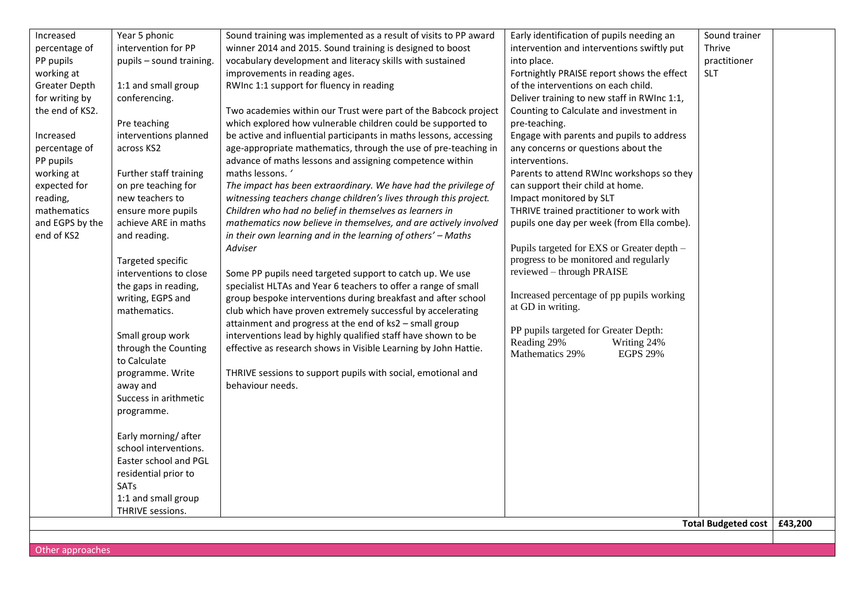| Increased       | Year 5 phonic            | Sound training was implemented as a result of visits to PP award   | Early identification of pupils needing an                        | Sound trainer       |         |
|-----------------|--------------------------|--------------------------------------------------------------------|------------------------------------------------------------------|---------------------|---------|
| percentage of   | intervention for PP      | winner 2014 and 2015. Sound training is designed to boost          | intervention and interventions swiftly put                       | Thrive              |         |
| PP pupils       | pupils - sound training. | vocabulary development and literacy skills with sustained          | into place.                                                      | practitioner        |         |
| working at      |                          | improvements in reading ages.                                      | Fortnightly PRAISE report shows the effect                       | <b>SLT</b>          |         |
| Greater Depth   | 1:1 and small group      | RWInc 1:1 support for fluency in reading                           | of the interventions on each child.                              |                     |         |
| for writing by  | conferencing.            |                                                                    | Deliver training to new staff in RWInc 1:1,                      |                     |         |
| the end of KS2. |                          | Two academies within our Trust were part of the Babcock project    | Counting to Calculate and investment in                          |                     |         |
|                 | Pre teaching             | which explored how vulnerable children could be supported to       | pre-teaching.                                                    |                     |         |
| Increased       | interventions planned    | be active and influential participants in maths lessons, accessing | Engage with parents and pupils to address                        |                     |         |
| percentage of   | across KS2               | age-appropriate mathematics, through the use of pre-teaching in    | any concerns or questions about the                              |                     |         |
| PP pupils       |                          | advance of maths lessons and assigning competence within           | interventions.                                                   |                     |         |
| working at      | Further staff training   | maths lessons. '                                                   | Parents to attend RWInc workshops so they                        |                     |         |
| expected for    | on pre teaching for      | The impact has been extraordinary. We have had the privilege of    | can support their child at home.                                 |                     |         |
| reading,        | new teachers to          | witnessing teachers change children's lives through this project.  | Impact monitored by SLT                                          |                     |         |
| mathematics     | ensure more pupils       | Children who had no belief in themselves as learners in            | THRIVE trained practitioner to work with                         |                     |         |
| and EGPS by the | achieve ARE in maths     | mathematics now believe in themselves, and are actively involved   | pupils one day per week (from Ella combe).                       |                     |         |
| end of KS2      | and reading.             | in their own learning and in the learning of others' - Maths       |                                                                  |                     |         |
|                 |                          | Adviser                                                            | Pupils targeted for EXS or Greater depth -                       |                     |         |
|                 | Targeted specific        |                                                                    | progress to be monitored and regularly                           |                     |         |
|                 | interventions to close   | Some PP pupils need targeted support to catch up. We use           | reviewed - through PRAISE                                        |                     |         |
|                 | the gaps in reading,     | specialist HLTAs and Year 6 teachers to offer a range of small     |                                                                  |                     |         |
|                 | writing, EGPS and        | group bespoke interventions during breakfast and after school      | Increased percentage of pp pupils working                        |                     |         |
|                 | mathematics.             | club which have proven extremely successful by accelerating        | at GD in writing.                                                |                     |         |
|                 |                          | attainment and progress at the end of ks2 - small group            |                                                                  |                     |         |
|                 | Small group work         | interventions lead by highly qualified staff have shown to be      | PP pupils targeted for Greater Depth:                            |                     |         |
|                 | through the Counting     | effective as research shows in Visible Learning by John Hattie.    | Reading 29%<br>Writing 24%<br><b>EGPS 29%</b><br>Mathematics 29% |                     |         |
|                 | to Calculate             |                                                                    |                                                                  |                     |         |
|                 | programme. Write         | THRIVE sessions to support pupils with social, emotional and       |                                                                  |                     |         |
|                 | away and                 | behaviour needs.                                                   |                                                                  |                     |         |
|                 | Success in arithmetic    |                                                                    |                                                                  |                     |         |
|                 | programme.               |                                                                    |                                                                  |                     |         |
|                 |                          |                                                                    |                                                                  |                     |         |
|                 | Early morning/after      |                                                                    |                                                                  |                     |         |
|                 | school interventions.    |                                                                    |                                                                  |                     |         |
|                 | Easter school and PGL    |                                                                    |                                                                  |                     |         |
|                 | residential prior to     |                                                                    |                                                                  |                     |         |
|                 | SATs                     |                                                                    |                                                                  |                     |         |
|                 | 1:1 and small group      |                                                                    |                                                                  |                     |         |
|                 | THRIVE sessions.         |                                                                    |                                                                  |                     |         |
|                 |                          |                                                                    |                                                                  | Total Budgeted cost | LAS 200 |

**Total Budgeted cost £43,200**

Other approaches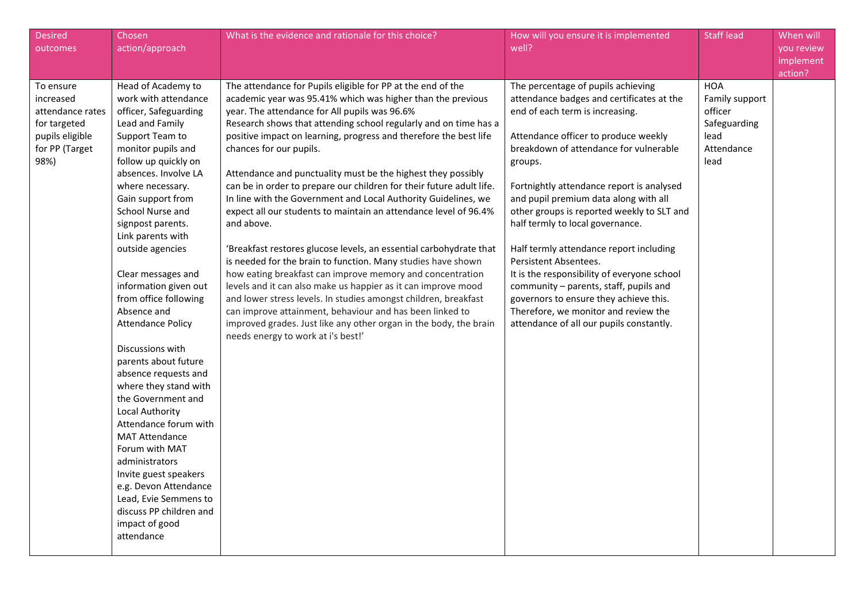| <b>Desired</b><br>outcomes                                                                              | Chosen<br>action/approach                                                                                                                                                                                                                                                                                                                                                                                                                                                                                                                                                                                                                                                                                                                                                                       | What is the evidence and rationale for this choice?                                                                                                                                                                                                                                                                                                                                                                                                                                                                                                                                                                                                                                                                                                                                                                                                                                                                                                                                                                                                                                                                                                       | How will you ensure it is implemented<br>well?                                                                                                                                                                                                                                                                                                                                                                                                                                                                                                                                                                                                                                     | <b>Staff lead</b>                                                                     | When will<br>you review<br>implement<br>action? |
|---------------------------------------------------------------------------------------------------------|-------------------------------------------------------------------------------------------------------------------------------------------------------------------------------------------------------------------------------------------------------------------------------------------------------------------------------------------------------------------------------------------------------------------------------------------------------------------------------------------------------------------------------------------------------------------------------------------------------------------------------------------------------------------------------------------------------------------------------------------------------------------------------------------------|-----------------------------------------------------------------------------------------------------------------------------------------------------------------------------------------------------------------------------------------------------------------------------------------------------------------------------------------------------------------------------------------------------------------------------------------------------------------------------------------------------------------------------------------------------------------------------------------------------------------------------------------------------------------------------------------------------------------------------------------------------------------------------------------------------------------------------------------------------------------------------------------------------------------------------------------------------------------------------------------------------------------------------------------------------------------------------------------------------------------------------------------------------------|------------------------------------------------------------------------------------------------------------------------------------------------------------------------------------------------------------------------------------------------------------------------------------------------------------------------------------------------------------------------------------------------------------------------------------------------------------------------------------------------------------------------------------------------------------------------------------------------------------------------------------------------------------------------------------|---------------------------------------------------------------------------------------|-------------------------------------------------|
| To ensure<br>increased<br>attendance rates<br>for targeted<br>pupils eligible<br>for PP (Target<br>98%) | Head of Academy to<br>work with attendance<br>officer, Safeguarding<br>Lead and Family<br>Support Team to<br>monitor pupils and<br>follow up quickly on<br>absences. Involve LA<br>where necessary.<br>Gain support from<br>School Nurse and<br>signpost parents.<br>Link parents with<br>outside agencies<br>Clear messages and<br>information given out<br>from office following<br>Absence and<br><b>Attendance Policy</b><br>Discussions with<br>parents about future<br>absence requests and<br>where they stand with<br>the Government and<br>Local Authority<br>Attendance forum with<br><b>MAT Attendance</b><br>Forum with MAT<br>administrators<br>Invite guest speakers<br>e.g. Devon Attendance<br>Lead, Evie Semmens to<br>discuss PP children and<br>impact of good<br>attendance | The attendance for Pupils eligible for PP at the end of the<br>academic year was 95.41% which was higher than the previous<br>year. The attendance for All pupils was 96.6%<br>Research shows that attending school regularly and on time has a<br>positive impact on learning, progress and therefore the best life<br>chances for our pupils.<br>Attendance and punctuality must be the highest they possibly<br>can be in order to prepare our children for their future adult life.<br>In line with the Government and Local Authority Guidelines, we<br>expect all our students to maintain an attendance level of 96.4%<br>and above.<br>'Breakfast restores glucose levels, an essential carbohydrate that<br>is needed for the brain to function. Many studies have shown<br>how eating breakfast can improve memory and concentration<br>levels and it can also make us happier as it can improve mood<br>and lower stress levels. In studies amongst children, breakfast<br>can improve attainment, behaviour and has been linked to<br>improved grades. Just like any other organ in the body, the brain<br>needs energy to work at i's best!' | The percentage of pupils achieving<br>attendance badges and certificates at the<br>end of each term is increasing.<br>Attendance officer to produce weekly<br>breakdown of attendance for vulnerable<br>groups.<br>Fortnightly attendance report is analysed<br>and pupil premium data along with all<br>other groups is reported weekly to SLT and<br>half termly to local governance.<br>Half termly attendance report including<br>Persistent Absentees.<br>It is the responsibility of everyone school<br>community - parents, staff, pupils and<br>governors to ensure they achieve this.<br>Therefore, we monitor and review the<br>attendance of all our pupils constantly. | <b>HOA</b><br>Family support<br>officer<br>Safeguarding<br>lead<br>Attendance<br>lead |                                                 |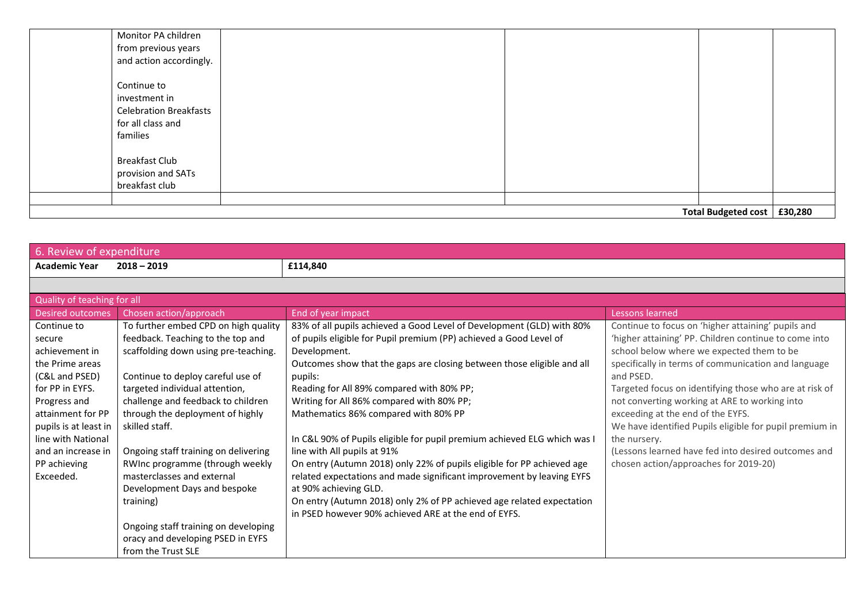| Total Budgeted cost   £30,280 |  |  |  |  |
|-------------------------------|--|--|--|--|
|                               |  |  |  |  |
| breakfast club                |  |  |  |  |
| provision and SATs            |  |  |  |  |
| <b>Breakfast Club</b>         |  |  |  |  |
| families                      |  |  |  |  |
| for all class and             |  |  |  |  |
| <b>Celebration Breakfasts</b> |  |  |  |  |
| investment in                 |  |  |  |  |
| Continue to                   |  |  |  |  |
| and action accordingly.       |  |  |  |  |
| from previous years           |  |  |  |  |
| Monitor PA children           |  |  |  |  |
|                               |  |  |  |  |

| 6. Review of expenditure    |                                      |                                                                          |                                                         |  |  |
|-----------------------------|--------------------------------------|--------------------------------------------------------------------------|---------------------------------------------------------|--|--|
| <b>Academic Year</b>        | $2018 - 2019$                        | £114,840                                                                 |                                                         |  |  |
|                             |                                      |                                                                          |                                                         |  |  |
| Quality of teaching for all |                                      |                                                                          |                                                         |  |  |
| <b>Desired outcomes</b>     | Chosen action/approach               | End of year impact                                                       | Lessons learned                                         |  |  |
| Continue to                 | To further embed CPD on high quality | 83% of all pupils achieved a Good Level of Development (GLD) with 80%    | Continue to focus on 'higher attaining' pupils and      |  |  |
| secure                      | feedback. Teaching to the top and    | of pupils eligible for Pupil premium (PP) achieved a Good Level of       | 'higher attaining' PP. Children continue to come into   |  |  |
| achievement in              | scaffolding down using pre-teaching. | Development.                                                             | school below where we expected them to be               |  |  |
| the Prime areas             |                                      | Outcomes show that the gaps are closing between those eligible and all   | specifically in terms of communication and language     |  |  |
| (C&L and PSED)              | Continue to deploy careful use of    | pupils:                                                                  | and PSED.                                               |  |  |
| for PP in EYFS.             | targeted individual attention,       | Reading for All 89% compared with 80% PP;                                | Targeted focus on identifying those who are at risk of  |  |  |
| Progress and                | challenge and feedback to children   | Writing for All 86% compared with 80% PP;                                | not converting working at ARE to working into           |  |  |
| attainment for PP           | through the deployment of highly     | Mathematics 86% compared with 80% PP                                     | exceeding at the end of the EYFS.                       |  |  |
| pupils is at least in       | skilled staff.                       |                                                                          | We have identified Pupils eligible for pupil premium in |  |  |
| line with National          |                                      | In C&L 90% of Pupils eligible for pupil premium achieved ELG which was I | the nursery.                                            |  |  |
| and an increase in          | Ongoing staff training on delivering | line with All pupils at 91%                                              | (Lessons learned have fed into desired outcomes and     |  |  |
| PP achieving                | RWInc programme (through weekly      | On entry (Autumn 2018) only 22% of pupils eligible for PP achieved age   | chosen action/approaches for 2019-20)                   |  |  |
| Exceeded.                   | masterclasses and external           | related expectations and made significant improvement by leaving EYFS    |                                                         |  |  |
|                             | Development Days and bespoke         | at 90% achieving GLD.                                                    |                                                         |  |  |
|                             | training)                            | On entry (Autumn 2018) only 2% of PP achieved age related expectation    |                                                         |  |  |
|                             |                                      | in PSED however 90% achieved ARE at the end of EYFS.                     |                                                         |  |  |
|                             | Ongoing staff training on developing |                                                                          |                                                         |  |  |
|                             | oracy and developing PSED in EYFS    |                                                                          |                                                         |  |  |
|                             | from the Trust SLE                   |                                                                          |                                                         |  |  |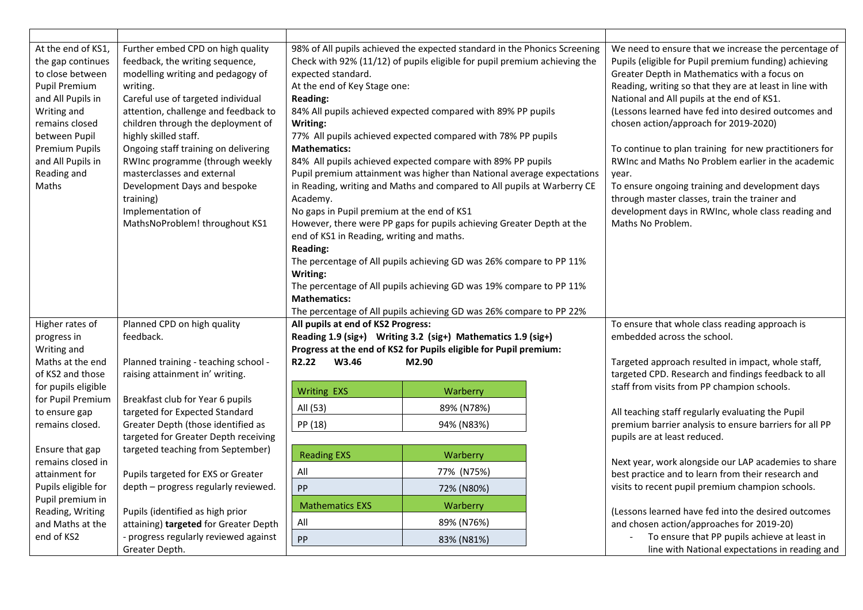| At the end of KS1,<br>the gap continues<br>to close between<br>Pupil Premium<br>and All Pupils in<br>Writing and<br>remains closed<br>between Pupil<br><b>Premium Pupils</b><br>and All Pupils in<br>Reading and<br>Maths | Further embed CPD on high quality<br>feedback, the writing sequence,<br>modelling writing and pedagogy of<br>writing.<br>Careful use of targeted individual<br>attention, challenge and feedback to<br>children through the deployment of<br>highly skilled staff.<br>Ongoing staff training on delivering<br>RWInc programme (through weekly<br>masterclasses and external<br>Development Days and bespoke<br>training)<br>Implementation of<br>MathsNoProblem! throughout KS1 | 98% of All pupils achieved the expected standard in the Phonics Screening<br>Check with 92% (11/12) of pupils eligible for pupil premium achieving the<br>expected standard.<br>At the end of Key Stage one:<br><b>Reading:</b><br>84% All pupils achieved expected compared with 89% PP pupils<br>Writing:<br>77% All pupils achieved expected compared with 78% PP pupils<br><b>Mathematics:</b><br>84% All pupils achieved expected compare with 89% PP pupils<br>Pupil premium attainment was higher than National average expectations<br>in Reading, writing and Maths and compared to All pupils at Warberry CE<br>Academy.<br>No gaps in Pupil premium at the end of KS1<br>However, there were PP gaps for pupils achieving Greater Depth at the<br>end of KS1 in Reading, writing and maths.<br><b>Reading:</b><br>The percentage of All pupils achieving GD was 26% compare to PP 11%<br>Writing: |            |                                                                                                           | We need to ensure that we increase the percentage of<br>Pupils (eligible for Pupil premium funding) achieving<br>Greater Depth in Mathematics with a focus on<br>Reading, writing so that they are at least in line with<br>National and All pupils at the end of KS1.<br>(Lessons learned have fed into desired outcomes and<br>chosen action/approach for 2019-2020)<br>To continue to plan training for new practitioners for<br>RWInc and Maths No Problem earlier in the academic<br>year.<br>To ensure ongoing training and development days<br>through master classes, train the trainer and<br>development days in RWInc, whole class reading and<br>Maths No Problem. |
|---------------------------------------------------------------------------------------------------------------------------------------------------------------------------------------------------------------------------|---------------------------------------------------------------------------------------------------------------------------------------------------------------------------------------------------------------------------------------------------------------------------------------------------------------------------------------------------------------------------------------------------------------------------------------------------------------------------------|--------------------------------------------------------------------------------------------------------------------------------------------------------------------------------------------------------------------------------------------------------------------------------------------------------------------------------------------------------------------------------------------------------------------------------------------------------------------------------------------------------------------------------------------------------------------------------------------------------------------------------------------------------------------------------------------------------------------------------------------------------------------------------------------------------------------------------------------------------------------------------------------------------------|------------|-----------------------------------------------------------------------------------------------------------|--------------------------------------------------------------------------------------------------------------------------------------------------------------------------------------------------------------------------------------------------------------------------------------------------------------------------------------------------------------------------------------------------------------------------------------------------------------------------------------------------------------------------------------------------------------------------------------------------------------------------------------------------------------------------------|
|                                                                                                                                                                                                                           |                                                                                                                                                                                                                                                                                                                                                                                                                                                                                 | The percentage of All pupils achieving GD was 19% compare to PP 11%<br><b>Mathematics:</b>                                                                                                                                                                                                                                                                                                                                                                                                                                                                                                                                                                                                                                                                                                                                                                                                                   |            |                                                                                                           |                                                                                                                                                                                                                                                                                                                                                                                                                                                                                                                                                                                                                                                                                |
|                                                                                                                                                                                                                           |                                                                                                                                                                                                                                                                                                                                                                                                                                                                                 | The percentage of All pupils achieving GD was 26% compare to PP 22%                                                                                                                                                                                                                                                                                                                                                                                                                                                                                                                                                                                                                                                                                                                                                                                                                                          |            |                                                                                                           |                                                                                                                                                                                                                                                                                                                                                                                                                                                                                                                                                                                                                                                                                |
| Higher rates of                                                                                                                                                                                                           | Planned CPD on high quality                                                                                                                                                                                                                                                                                                                                                                                                                                                     | All pupils at end of KS2 Progress:                                                                                                                                                                                                                                                                                                                                                                                                                                                                                                                                                                                                                                                                                                                                                                                                                                                                           |            |                                                                                                           | To ensure that whole class reading approach is                                                                                                                                                                                                                                                                                                                                                                                                                                                                                                                                                                                                                                 |
| progress in                                                                                                                                                                                                               | feedback.                                                                                                                                                                                                                                                                                                                                                                                                                                                                       | Reading 1.9 (sig+) Writing 3.2 (sig+) Mathematics 1.9 (sig+)<br>Progress at the end of KS2 for Pupils eligible for Pupil premium:                                                                                                                                                                                                                                                                                                                                                                                                                                                                                                                                                                                                                                                                                                                                                                            |            |                                                                                                           | embedded across the school.                                                                                                                                                                                                                                                                                                                                                                                                                                                                                                                                                                                                                                                    |
| Writing and                                                                                                                                                                                                               |                                                                                                                                                                                                                                                                                                                                                                                                                                                                                 |                                                                                                                                                                                                                                                                                                                                                                                                                                                                                                                                                                                                                                                                                                                                                                                                                                                                                                              |            |                                                                                                           |                                                                                                                                                                                                                                                                                                                                                                                                                                                                                                                                                                                                                                                                                |
| Maths at the end<br>of KS2 and those                                                                                                                                                                                      | Planned training - teaching school -<br>raising attainment in' writing.                                                                                                                                                                                                                                                                                                                                                                                                         | R2.22<br>W3.46<br>M2.90                                                                                                                                                                                                                                                                                                                                                                                                                                                                                                                                                                                                                                                                                                                                                                                                                                                                                      |            | Targeted approach resulted in impact, whole staff,<br>targeted CPD. Research and findings feedback to all |                                                                                                                                                                                                                                                                                                                                                                                                                                                                                                                                                                                                                                                                                |
| for pupils eligible                                                                                                                                                                                                       |                                                                                                                                                                                                                                                                                                                                                                                                                                                                                 |                                                                                                                                                                                                                                                                                                                                                                                                                                                                                                                                                                                                                                                                                                                                                                                                                                                                                                              |            |                                                                                                           | staff from visits from PP champion schools.                                                                                                                                                                                                                                                                                                                                                                                                                                                                                                                                                                                                                                    |
| for Pupil Premium                                                                                                                                                                                                         | Breakfast club for Year 6 pupils                                                                                                                                                                                                                                                                                                                                                                                                                                                | <b>Writing EXS</b>                                                                                                                                                                                                                                                                                                                                                                                                                                                                                                                                                                                                                                                                                                                                                                                                                                                                                           | Warberry   |                                                                                                           |                                                                                                                                                                                                                                                                                                                                                                                                                                                                                                                                                                                                                                                                                |
| to ensure gap                                                                                                                                                                                                             | targeted for Expected Standard                                                                                                                                                                                                                                                                                                                                                                                                                                                  | All (53)                                                                                                                                                                                                                                                                                                                                                                                                                                                                                                                                                                                                                                                                                                                                                                                                                                                                                                     | 89% (N78%) |                                                                                                           | All teaching staff regularly evaluating the Pupil                                                                                                                                                                                                                                                                                                                                                                                                                                                                                                                                                                                                                              |
| remains closed.                                                                                                                                                                                                           | Greater Depth (those identified as                                                                                                                                                                                                                                                                                                                                                                                                                                              | PP (18)                                                                                                                                                                                                                                                                                                                                                                                                                                                                                                                                                                                                                                                                                                                                                                                                                                                                                                      | 94% (N83%) |                                                                                                           | premium barrier analysis to ensure barriers for all PP                                                                                                                                                                                                                                                                                                                                                                                                                                                                                                                                                                                                                         |
|                                                                                                                                                                                                                           | targeted for Greater Depth receiving                                                                                                                                                                                                                                                                                                                                                                                                                                            |                                                                                                                                                                                                                                                                                                                                                                                                                                                                                                                                                                                                                                                                                                                                                                                                                                                                                                              |            |                                                                                                           | pupils are at least reduced.                                                                                                                                                                                                                                                                                                                                                                                                                                                                                                                                                                                                                                                   |
| Ensure that gap                                                                                                                                                                                                           | targeted teaching from September)                                                                                                                                                                                                                                                                                                                                                                                                                                               | <b>Reading EXS</b>                                                                                                                                                                                                                                                                                                                                                                                                                                                                                                                                                                                                                                                                                                                                                                                                                                                                                           | Warberry   |                                                                                                           |                                                                                                                                                                                                                                                                                                                                                                                                                                                                                                                                                                                                                                                                                |
| remains closed in                                                                                                                                                                                                         |                                                                                                                                                                                                                                                                                                                                                                                                                                                                                 |                                                                                                                                                                                                                                                                                                                                                                                                                                                                                                                                                                                                                                                                                                                                                                                                                                                                                                              |            |                                                                                                           | Next year, work alongside our LAP academies to share                                                                                                                                                                                                                                                                                                                                                                                                                                                                                                                                                                                                                           |
| attainment for                                                                                                                                                                                                            | Pupils targeted for EXS or Greater                                                                                                                                                                                                                                                                                                                                                                                                                                              | All                                                                                                                                                                                                                                                                                                                                                                                                                                                                                                                                                                                                                                                                                                                                                                                                                                                                                                          | 77% (N75%) |                                                                                                           | best practice and to learn from their research and                                                                                                                                                                                                                                                                                                                                                                                                                                                                                                                                                                                                                             |
| Pupils eligible for                                                                                                                                                                                                       | depth - progress regularly reviewed.                                                                                                                                                                                                                                                                                                                                                                                                                                            | PP                                                                                                                                                                                                                                                                                                                                                                                                                                                                                                                                                                                                                                                                                                                                                                                                                                                                                                           | 72% (N80%) |                                                                                                           | visits to recent pupil premium champion schools.                                                                                                                                                                                                                                                                                                                                                                                                                                                                                                                                                                                                                               |
| Pupil premium in                                                                                                                                                                                                          |                                                                                                                                                                                                                                                                                                                                                                                                                                                                                 | <b>Mathematics EXS</b>                                                                                                                                                                                                                                                                                                                                                                                                                                                                                                                                                                                                                                                                                                                                                                                                                                                                                       | Warberry   |                                                                                                           |                                                                                                                                                                                                                                                                                                                                                                                                                                                                                                                                                                                                                                                                                |
| Reading, Writing                                                                                                                                                                                                          | Pupils (identified as high prior                                                                                                                                                                                                                                                                                                                                                                                                                                                | All                                                                                                                                                                                                                                                                                                                                                                                                                                                                                                                                                                                                                                                                                                                                                                                                                                                                                                          | 89% (N76%) |                                                                                                           | (Lessons learned have fed into the desired outcomes                                                                                                                                                                                                                                                                                                                                                                                                                                                                                                                                                                                                                            |
| and Maths at the<br>end of KS2                                                                                                                                                                                            | attaining) targeted for Greater Depth<br>- progress regularly reviewed against                                                                                                                                                                                                                                                                                                                                                                                                  |                                                                                                                                                                                                                                                                                                                                                                                                                                                                                                                                                                                                                                                                                                                                                                                                                                                                                                              |            |                                                                                                           | and chosen action/approaches for 2019-20)<br>To ensure that PP pupils achieve at least in                                                                                                                                                                                                                                                                                                                                                                                                                                                                                                                                                                                      |
|                                                                                                                                                                                                                           | Greater Depth.                                                                                                                                                                                                                                                                                                                                                                                                                                                                  | PP                                                                                                                                                                                                                                                                                                                                                                                                                                                                                                                                                                                                                                                                                                                                                                                                                                                                                                           | 83% (N81%) |                                                                                                           | line with National expectations in reading and                                                                                                                                                                                                                                                                                                                                                                                                                                                                                                                                                                                                                                 |
|                                                                                                                                                                                                                           |                                                                                                                                                                                                                                                                                                                                                                                                                                                                                 |                                                                                                                                                                                                                                                                                                                                                                                                                                                                                                                                                                                                                                                                                                                                                                                                                                                                                                              |            |                                                                                                           |                                                                                                                                                                                                                                                                                                                                                                                                                                                                                                                                                                                                                                                                                |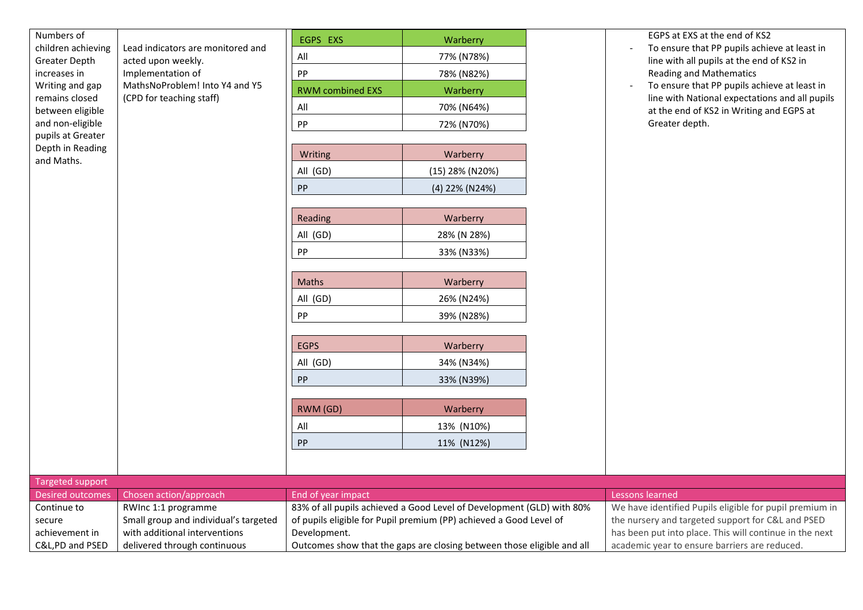| Numbers of                                                 |                                                                              | EGPS EXS                                                               | Warberry                                                              |                                               | EGPS at EXS at the end of KS2                                                              |
|------------------------------------------------------------|------------------------------------------------------------------------------|------------------------------------------------------------------------|-----------------------------------------------------------------------|-----------------------------------------------|--------------------------------------------------------------------------------------------|
| children achieving<br><b>Greater Depth</b><br>increases in | Lead indicators are monitored and<br>acted upon weekly.<br>Implementation of | All                                                                    | 77% (N78%)                                                            |                                               | To ensure that PP pupils achieve at least in<br>line with all pupils at the end of KS2 in  |
|                                                            |                                                                              | PP                                                                     | 78% (N82%)                                                            |                                               | <b>Reading and Mathematics</b>                                                             |
| Writing and gap                                            | MathsNoProblem! Into Y4 and Y5                                               | <b>RWM combined EXS</b>                                                | Warberry                                                              |                                               | To ensure that PP pupils achieve at least in                                               |
| remains closed<br>between eligible                         | (CPD for teaching staff)                                                     | All                                                                    | 70% (N64%)                                                            |                                               | line with National expectations and all pupils<br>at the end of KS2 in Writing and EGPS at |
| and non-eligible                                           |                                                                              | ${\sf PP}$                                                             | 72% (N70%)                                                            |                                               | Greater depth.                                                                             |
| pupils at Greater                                          |                                                                              |                                                                        |                                                                       |                                               |                                                                                            |
| Depth in Reading<br>and Maths.                             |                                                                              | Writing                                                                | Warberry                                                              |                                               |                                                                                            |
|                                                            |                                                                              | All (GD)                                                               | (15) 28% (N20%)                                                       |                                               |                                                                                            |
|                                                            |                                                                              | ${\sf PP}$                                                             | (4) 22% (N24%)                                                        |                                               |                                                                                            |
|                                                            |                                                                              |                                                                        |                                                                       |                                               |                                                                                            |
|                                                            |                                                                              | Reading                                                                | Warberry                                                              |                                               |                                                                                            |
|                                                            |                                                                              | All (GD)                                                               | 28% (N 28%)                                                           |                                               |                                                                                            |
|                                                            |                                                                              | PP                                                                     | 33% (N33%)                                                            |                                               |                                                                                            |
|                                                            |                                                                              |                                                                        |                                                                       |                                               |                                                                                            |
|                                                            |                                                                              | Maths                                                                  | Warberry                                                              |                                               |                                                                                            |
|                                                            |                                                                              | All (GD)                                                               | 26% (N24%)                                                            |                                               |                                                                                            |
|                                                            |                                                                              | PP                                                                     | 39% (N28%)                                                            |                                               |                                                                                            |
|                                                            |                                                                              |                                                                        |                                                                       |                                               |                                                                                            |
|                                                            |                                                                              | <b>EGPS</b>                                                            | Warberry                                                              |                                               |                                                                                            |
|                                                            |                                                                              | All (GD)                                                               | 34% (N34%)                                                            |                                               |                                                                                            |
|                                                            |                                                                              | PP                                                                     | 33% (N39%)                                                            |                                               |                                                                                            |
|                                                            |                                                                              | RWM (GD)                                                               | Warberry                                                              |                                               |                                                                                            |
|                                                            |                                                                              | All                                                                    | 13% (N10%)                                                            |                                               |                                                                                            |
|                                                            |                                                                              | PP                                                                     | 11% (N12%)                                                            |                                               |                                                                                            |
|                                                            |                                                                              |                                                                        |                                                                       |                                               |                                                                                            |
|                                                            |                                                                              |                                                                        |                                                                       |                                               |                                                                                            |
| <b>Targeted support</b><br><b>Desired outcomes</b>         | Chosen action/approach                                                       | End of year impact                                                     |                                                                       |                                               | Lessons learned                                                                            |
| Continue to                                                | RWInc 1:1 programme                                                          |                                                                        | 83% of all pupils achieved a Good Level of Development (GLD) with 80% |                                               | We have identified Pupils eligible for pupil premium in                                    |
| secure                                                     | Small group and individual's targeted                                        |                                                                        | of pupils eligible for Pupil premium (PP) achieved a Good Level of    |                                               | the nursery and targeted support for C&L and PSED                                          |
| achievement in                                             | with additional interventions                                                | Development.                                                           |                                                                       |                                               | has been put into place. This will continue in the next                                    |
| C&L,PD and PSED                                            | delivered through continuous                                                 | Outcomes show that the gaps are closing between those eligible and all |                                                                       | academic year to ensure barriers are reduced. |                                                                                            |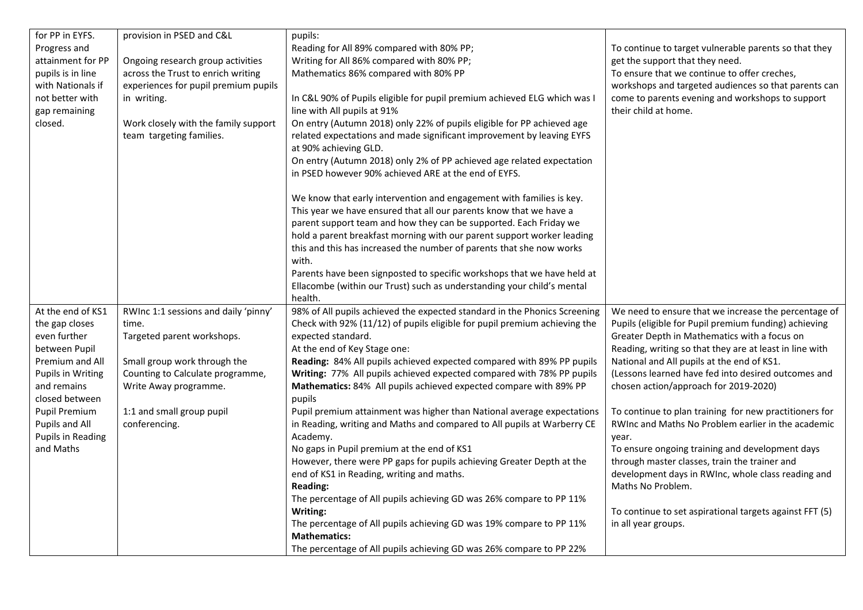| for PP in EYFS.          | provision in PSED and C&L            | pupils:                                                                   |                                                         |
|--------------------------|--------------------------------------|---------------------------------------------------------------------------|---------------------------------------------------------|
| Progress and             |                                      | Reading for All 89% compared with 80% PP;                                 | To continue to target vulnerable parents so that they   |
| attainment for PP        | Ongoing research group activities    | Writing for All 86% compared with 80% PP;                                 | get the support that they need.                         |
| pupils is in line        | across the Trust to enrich writing   | Mathematics 86% compared with 80% PP                                      | To ensure that we continue to offer creches,            |
| with Nationals if        | experiences for pupil premium pupils |                                                                           | workshops and targeted audiences so that parents can    |
| not better with          | in writing.                          | In C&L 90% of Pupils eligible for pupil premium achieved ELG which was I  | come to parents evening and workshops to support        |
| gap remaining            |                                      | line with All pupils at 91%                                               | their child at home.                                    |
| closed.                  | Work closely with the family support | On entry (Autumn 2018) only 22% of pupils eligible for PP achieved age    |                                                         |
|                          | team targeting families.             | related expectations and made significant improvement by leaving EYFS     |                                                         |
|                          |                                      | at 90% achieving GLD.                                                     |                                                         |
|                          |                                      | On entry (Autumn 2018) only 2% of PP achieved age related expectation     |                                                         |
|                          |                                      | in PSED however 90% achieved ARE at the end of EYFS.                      |                                                         |
|                          |                                      | We know that early intervention and engagement with families is key.      |                                                         |
|                          |                                      | This year we have ensured that all our parents know that we have a        |                                                         |
|                          |                                      | parent support team and how they can be supported. Each Friday we         |                                                         |
|                          |                                      | hold a parent breakfast morning with our parent support worker leading    |                                                         |
|                          |                                      | this and this has increased the number of parents that she now works      |                                                         |
|                          |                                      | with.                                                                     |                                                         |
|                          |                                      | Parents have been signposted to specific workshops that we have held at   |                                                         |
|                          |                                      | Ellacombe (within our Trust) such as understanding your child's mental    |                                                         |
|                          |                                      | health.                                                                   |                                                         |
| At the end of KS1        | RWInc 1:1 sessions and daily 'pinny' | 98% of All pupils achieved the expected standard in the Phonics Screening | We need to ensure that we increase the percentage of    |
| the gap closes           | time.                                | Check with 92% (11/12) of pupils eligible for pupil premium achieving the | Pupils (eligible for Pupil premium funding) achieving   |
| even further             | Targeted parent workshops.           | expected standard.                                                        | Greater Depth in Mathematics with a focus on            |
| between Pupil            |                                      | At the end of Key Stage one:                                              | Reading, writing so that they are at least in line with |
| Premium and All          | Small group work through the         | Reading: 84% All pupils achieved expected compared with 89% PP pupils     | National and All pupils at the end of KS1.              |
| <b>Pupils in Writing</b> | Counting to Calculate programme,     | Writing: 77% All pupils achieved expected compared with 78% PP pupils     | (Lessons learned have fed into desired outcomes and     |
| and remains              | Write Away programme.                | Mathematics: 84% All pupils achieved expected compare with 89% PP         | chosen action/approach for 2019-2020)                   |
| closed between           |                                      | pupils                                                                    |                                                         |
| Pupil Premium            | 1:1 and small group pupil            | Pupil premium attainment was higher than National average expectations    | To continue to plan training for new practitioners for  |
| Pupils and All           | conferencing.                        | in Reading, writing and Maths and compared to All pupils at Warberry CE   | RWInc and Maths No Problem earlier in the academic      |
| <b>Pupils in Reading</b> |                                      | Academy.                                                                  | year.                                                   |
| and Maths                |                                      | No gaps in Pupil premium at the end of KS1                                | To ensure ongoing training and development days         |
|                          |                                      | However, there were PP gaps for pupils achieving Greater Depth at the     | through master classes, train the trainer and           |
|                          |                                      | end of KS1 in Reading, writing and maths.                                 | development days in RWInc, whole class reading and      |
|                          |                                      | <b>Reading:</b>                                                           | Maths No Problem.                                       |
|                          |                                      | The percentage of All pupils achieving GD was 26% compare to PP 11%       |                                                         |
|                          |                                      | Writing:                                                                  | To continue to set aspirational targets against FFT (5) |
|                          |                                      | The percentage of All pupils achieving GD was 19% compare to PP 11%       | in all year groups.                                     |
|                          |                                      | <b>Mathematics:</b>                                                       |                                                         |
|                          |                                      | The percentage of All pupils achieving GD was 26% compare to PP 22%       |                                                         |